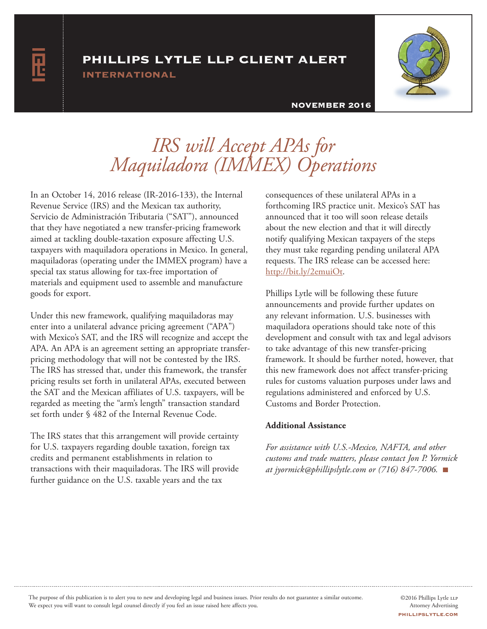## phillips lytle llp client alert

international



#### NOVEMBER 2016

# *IRS will Accept APAs for Maquiladora (IMMEX) Operations*

In an October 14, 2016 release (IR-2016-133), the Internal Revenue Service (IRS) and the Mexican tax authority, Servicio de Administración Tributaria ("SAT"), announced that they have negotiated a new transfer-pricing framework aimed at tackling double-taxation exposure affecting U.S. taxpayers with maquiladora operations in Mexico. In general, maquiladoras (operating under the IMMEX program) have a special tax status allowing for tax-free importation of materials and equipment used to assemble and manufacture goods for export.

Under this new framework, qualifying maquiladoras may enter into a unilateral advance pricing agreement ("APA") with Mexico's SAT, and the IRS will recognize and accept the APA. An APA is an agreement setting an appropriate transferpricing methodology that will not be contested by the IRS. The IRS has stressed that, under this framework, the transfer pricing results set forth in unilateral APAs, executed between the SAT and the Mexican affiliates of U.S. taxpayers, will be regarded as meeting the "arm's length" transaction standard set forth under § 482 of the Internal Revenue Code.

The IRS states that this arrangement will provide certainty for U.S. taxpayers regarding double taxation, foreign tax credits and permanent establishments in relation to transactions with their maquiladoras. The IRS will provide further guidance on the U.S. taxable years and the tax

consequences of these unilateral APAs in a forthcoming IRS practice unit. Mexico's SAT has announced that it too will soon release details about the new election and that it will directly notify qualifying Mexican taxpayers of the steps they must take regarding pending unilateral APA requests. The IRS release can be accessed here: http://bit.ly/2emuiOt.

Phillips Lytle will be following these future announcements and provide further updates on any relevant information. U.S. businesses with maquiladora operations should take note of this development and consult with tax and legal advisors to take advantage of this new transfer-pricing framework. It should be further noted, however, that this new framework does not affect transfer-pricing rules for customs valuation purposes under laws and regulations administered and enforced by U.S. Customs and Border Protection.

### **Additional Assistance**

*For assistance with U.S.-Mexico, NAFTA, and other customs and trade matters, please contact Jon P. Yormick at jyormick@phillipslytle.com or (716) 847-7006.*

The purpose of this publication is to alert you to new and developing legal and business issues. Prior results do not guarantee a similar outcome. We expect you will want to consult legal counsel directly if you feel an issue raised here affects you.

©2016 Phillips Lytle LLP Attorney Advertising phillipslytle.com